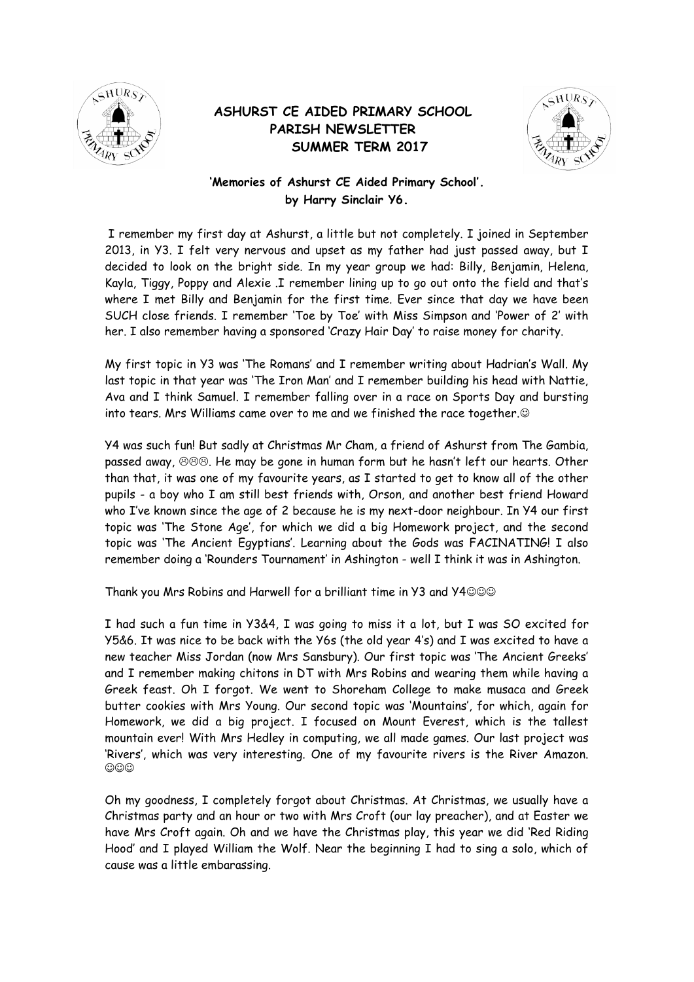

## **ASHURST CE AIDED PRIMARY SCHOOL PARISH NEWSLETTER SUMMER TERM 2017**



## **'Memories of Ashurst CE Aided Primary School'. by Harry Sinclair Y6.**

I remember my first day at Ashurst, a little but not completely. I joined in September 2013, in Y3. I felt very nervous and upset as my father had just passed away, but I decided to look on the bright side. In my year group we had: Billy, Benjamin, Helena, Kayla, Tiggy, Poppy and Alexie .I remember lining up to go out onto the field and that's where I met Billy and Benjamin for the first time. Ever since that day we have been SUCH close friends. I remember 'Toe by Toe' with Miss Simpson and 'Power of 2' with her. I also remember having a sponsored 'Crazy Hair Day' to raise money for charity.

My first topic in Y3 was 'The Romans' and I remember writing about Hadrian's Wall. My last topic in that year was 'The Iron Man' and I remember building his head with Nattie, Ava and I think Samuel. I remember falling over in a race on Sports Day and bursting into tears. Mrs Williams came over to me and we finished the race together.

Y4 was such fun! But sadly at Christmas Mr Cham, a friend of Ashurst from The Gambia, passed away,  $\otimes \otimes \otimes$ . He may be gone in human form but he hasn't left our hearts. Other than that, it was one of my favourite years, as I started to get to know all of the other pupils - a boy who I am still best friends with, Orson, and another best friend Howard who I've known since the age of 2 because he is my next-door neighbour. In Y4 our first topic was 'The Stone Age', for which we did a big Homework project, and the second topic was 'The Ancient Egyptians'. Learning about the Gods was FACINATING! I also remember doing a 'Rounders Tournament' in Ashington - well I think it was in Ashington.

Thank you Mrs Robins and Harwell for a brilliant time in Y3 and Y4

I had such a fun time in Y3&4, I was going to miss it a lot, but I was SO excited for Y5&6. It was nice to be back with the Y6s (the old year 4's) and I was excited to have a new teacher Miss Jordan (now Mrs Sansbury). Our first topic was 'The Ancient Greeks' and I remember making chitons in DT with Mrs Robins and wearing them while having a Greek feast. Oh I forgot. We went to Shoreham College to make musaca and Greek butter cookies with Mrs Young. Our second topic was 'Mountains', for which, again for Homework, we did a big project. I focused on Mount Everest, which is the tallest mountain ever! With Mrs Hedley in computing, we all made games. Our last project was 'Rivers', which was very interesting. One of my favourite rivers is the River Amazon.  $\circledcirc\circ$ 

Oh my goodness, I completely forgot about Christmas. At Christmas, we usually have a Christmas party and an hour or two with Mrs Croft (our lay preacher), and at Easter we have Mrs Croft again. Oh and we have the Christmas play, this year we did 'Red Riding Hood' and I played William the Wolf. Near the beginning I had to sing a solo, which of cause was a little embarassing.